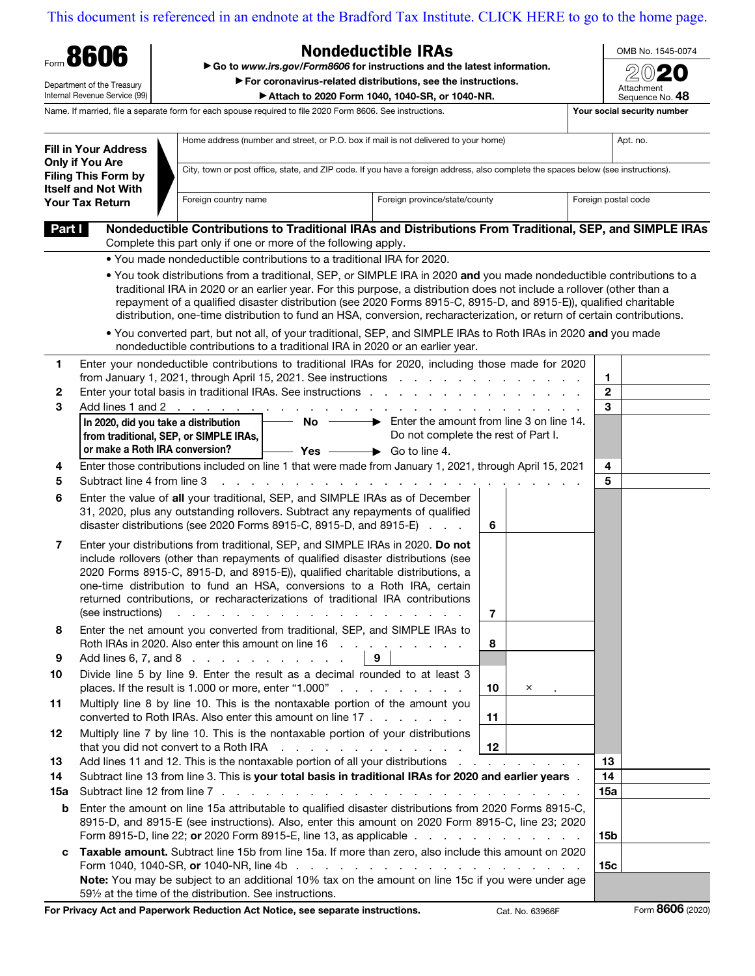## [This document is referenced in an endnote at the Bradford Tax Institute. CLICK HERE to go to the home page.](https://www.bradfordtaxinstitute.com)

| Form 8606<br>Department of the Treasury                                                                                              |                                                                                                       | <b>Nondeductible IRAs</b>                                                                                                                                              |                                                                                                                                                                                                                                                                                                                                                                                                                                                                                                                                                                                                                   |                 |                               |              | OMB No. 1545-0074           |  |
|--------------------------------------------------------------------------------------------------------------------------------------|-------------------------------------------------------------------------------------------------------|------------------------------------------------------------------------------------------------------------------------------------------------------------------------|-------------------------------------------------------------------------------------------------------------------------------------------------------------------------------------------------------------------------------------------------------------------------------------------------------------------------------------------------------------------------------------------------------------------------------------------------------------------------------------------------------------------------------------------------------------------------------------------------------------------|-----------------|-------------------------------|--------------|-----------------------------|--|
|                                                                                                                                      |                                                                                                       |                                                                                                                                                                        | Go to www.irs.gov/Form8606 for instructions and the latest information.                                                                                                                                                                                                                                                                                                                                                                                                                                                                                                                                           |                 |                               |              |                             |  |
|                                                                                                                                      |                                                                                                       | For coronavirus-related distributions, see the instructions.                                                                                                           |                                                                                                                                                                                                                                                                                                                                                                                                                                                                                                                                                                                                                   |                 |                               |              | Attachment                  |  |
|                                                                                                                                      | Internal Revenue Service (99)                                                                         |                                                                                                                                                                        | Attach to 2020 Form 1040, 1040-SR, or 1040-NR.                                                                                                                                                                                                                                                                                                                                                                                                                                                                                                                                                                    |                 |                               |              | Sequence No. 48             |  |
|                                                                                                                                      |                                                                                                       |                                                                                                                                                                        | Name. If married, file a separate form for each spouse required to file 2020 Form 8606. See instructions.                                                                                                                                                                                                                                                                                                                                                                                                                                                                                                         |                 |                               |              | Your social security number |  |
| <b>Fill in Your Address</b><br><b>Only if You Are</b><br><b>Filing This Form by</b><br><b>Itself and Not With</b><br>Your Tax Return |                                                                                                       | Home address (number and street, or P.O. box if mail is not delivered to your home)                                                                                    |                                                                                                                                                                                                                                                                                                                                                                                                                                                                                                                                                                                                                   |                 |                               |              | Apt. no.                    |  |
|                                                                                                                                      |                                                                                                       | City, town or post office, state, and ZIP code. If you have a foreign address, also complete the spaces below (see instructions).                                      |                                                                                                                                                                                                                                                                                                                                                                                                                                                                                                                                                                                                                   |                 |                               |              |                             |  |
|                                                                                                                                      |                                                                                                       | Foreign province/state/county<br>Foreign country name                                                                                                                  |                                                                                                                                                                                                                                                                                                                                                                                                                                                                                                                                                                                                                   |                 | Foreign postal code           |              |                             |  |
| Part I                                                                                                                               |                                                                                                       | Complete this part only if one or more of the following apply.                                                                                                         | Nondeductible Contributions to Traditional IRAs and Distributions From Traditional, SEP, and SIMPLE IRAs                                                                                                                                                                                                                                                                                                                                                                                                                                                                                                          |                 |                               |              |                             |  |
|                                                                                                                                      |                                                                                                       |                                                                                                                                                                        | . You made nondeductible contributions to a traditional IRA for 2020.                                                                                                                                                                                                                                                                                                                                                                                                                                                                                                                                             |                 |                               |              |                             |  |
|                                                                                                                                      |                                                                                                       |                                                                                                                                                                        | . You took distributions from a traditional, SEP, or SIMPLE IRA in 2020 and you made nondeductible contributions to a<br>traditional IRA in 2020 or an earlier year. For this purpose, a distribution does not include a rollover (other than a<br>repayment of a qualified disaster distribution (see 2020 Forms 8915-C, 8915-D, and 8915-E)), qualified charitable<br>distribution, one-time distribution to fund an HSA, conversion, recharacterization, or return of certain contributions.<br>. You converted part, but not all, of your traditional, SEP, and SIMPLE IRAs to Roth IRAs in 2020 and you made |                 |                               |              |                             |  |
|                                                                                                                                      |                                                                                                       |                                                                                                                                                                        | nondeductible contributions to a traditional IRA in 2020 or an earlier year.                                                                                                                                                                                                                                                                                                                                                                                                                                                                                                                                      |                 |                               |              |                             |  |
| 1.                                                                                                                                   |                                                                                                       |                                                                                                                                                                        | Enter your nondeductible contributions to traditional IRAs for 2020, including those made for 2020<br>from January 1, 2021, through April 15, 2021. See instructions                                                                                                                                                                                                                                                                                                                                                                                                                                              |                 |                               | 1.           |                             |  |
| 2                                                                                                                                    |                                                                                                       |                                                                                                                                                                        | Enter your total basis in traditional IRAs. See instructions                                                                                                                                                                                                                                                                                                                                                                                                                                                                                                                                                      |                 |                               | $\mathbf{2}$ |                             |  |
| 3                                                                                                                                    |                                                                                                       | Add lines 1 and 2                                                                                                                                                      |                                                                                                                                                                                                                                                                                                                                                                                                                                                                                                                                                                                                                   |                 |                               | 3            |                             |  |
|                                                                                                                                      | In 2020, did you take a distribution                                                                  |                                                                                                                                                                        | $\rightarrow$ Enter the amount from line 3 on line 14.<br><b>No</b>                                                                                                                                                                                                                                                                                                                                                                                                                                                                                                                                               |                 |                               |              |                             |  |
|                                                                                                                                      | from traditional, SEP, or SIMPLE IRAs,                                                                |                                                                                                                                                                        | Do not complete the rest of Part I.                                                                                                                                                                                                                                                                                                                                                                                                                                                                                                                                                                               |                 |                               |              |                             |  |
|                                                                                                                                      | or make a Roth IRA conversion?                                                                        |                                                                                                                                                                        | $\rightarrow$ Go to line 4.<br>– Yes —                                                                                                                                                                                                                                                                                                                                                                                                                                                                                                                                                                            |                 |                               |              |                             |  |
| 4                                                                                                                                    |                                                                                                       | Enter those contributions included on line 1 that were made from January 1, 2021, through April 15, 2021<br>$\mathbf{L} = \mathbf{L}$                                  |                                                                                                                                                                                                                                                                                                                                                                                                                                                                                                                                                                                                                   |                 |                               |              |                             |  |
| 5                                                                                                                                    | Subtract line 4 from line 3                                                                           |                                                                                                                                                                        |                                                                                                                                                                                                                                                                                                                                                                                                                                                                                                                                                                                                                   |                 |                               |              |                             |  |
| 6                                                                                                                                    |                                                                                                       |                                                                                                                                                                        | Enter the value of all your traditional, SEP, and SIMPLE IRAs as of December                                                                                                                                                                                                                                                                                                                                                                                                                                                                                                                                      |                 |                               |              |                             |  |
|                                                                                                                                      |                                                                                                       | 31, 2020, plus any outstanding rollovers. Subtract any repayments of qualified<br>disaster distributions (see 2020 Forms 8915-C, 8915-D, and 8915-E)                   |                                                                                                                                                                                                                                                                                                                                                                                                                                                                                                                                                                                                                   |                 |                               |              |                             |  |
|                                                                                                                                      |                                                                                                       |                                                                                                                                                                        |                                                                                                                                                                                                                                                                                                                                                                                                                                                                                                                                                                                                                   | 6               |                               |              |                             |  |
| 7                                                                                                                                    |                                                                                                       |                                                                                                                                                                        | Enter your distributions from traditional, SEP, and SIMPLE IRAs in 2020. Do not                                                                                                                                                                                                                                                                                                                                                                                                                                                                                                                                   |                 |                               |              |                             |  |
|                                                                                                                                      |                                                                                                       |                                                                                                                                                                        | include rollovers (other than repayments of qualified disaster distributions (see<br>2020 Forms 8915-C, 8915-D, and 8915-E)), qualified charitable distributions, a                                                                                                                                                                                                                                                                                                                                                                                                                                               |                 |                               |              |                             |  |
|                                                                                                                                      |                                                                                                       |                                                                                                                                                                        | one-time distribution to fund an HSA, conversions to a Roth IRA, certain                                                                                                                                                                                                                                                                                                                                                                                                                                                                                                                                          |                 |                               |              |                             |  |
|                                                                                                                                      |                                                                                                       |                                                                                                                                                                        | returned contributions, or recharacterizations of traditional IRA contributions                                                                                                                                                                                                                                                                                                                                                                                                                                                                                                                                   |                 |                               |              |                             |  |
|                                                                                                                                      | (see instructions)                                                                                    |                                                                                                                                                                        |                                                                                                                                                                                                                                                                                                                                                                                                                                                                                                                                                                                                                   | 7               |                               |              |                             |  |
| 8                                                                                                                                    |                                                                                                       |                                                                                                                                                                        | Enter the net amount you converted from traditional, SEP, and SIMPLE IRAs to<br>Roth IRAs in 2020. Also enter this amount on line 16 contact and such a contact the 16 contact and 18 contact a                                                                                                                                                                                                                                                                                                                                                                                                                   | 8               |                               |              |                             |  |
| 9                                                                                                                                    |                                                                                                       | Add lines 6, 7, and 8 $\ldots$ $\ldots$ $\ldots$ $\ldots$ $\ldots$                                                                                                     | 9                                                                                                                                                                                                                                                                                                                                                                                                                                                                                                                                                                                                                 |                 |                               |              |                             |  |
| 10                                                                                                                                   |                                                                                                       |                                                                                                                                                                        | Divide line 5 by line 9. Enter the result as a decimal rounded to at least 3<br>places. If the result is 1.000 or more, enter "1.000"                                                                                                                                                                                                                                                                                                                                                                                                                                                                             | 10              | ×                             |              |                             |  |
| 11                                                                                                                                   |                                                                                                       |                                                                                                                                                                        | Multiply line 8 by line 10. This is the nontaxable portion of the amount you<br>converted to Roth IRAs. Also enter this amount on line $17 \cdot \cdot \cdot \cdot \cdot$                                                                                                                                                                                                                                                                                                                                                                                                                                         | 11              |                               |              |                             |  |
| 12                                                                                                                                   |                                                                                                       | that you did not convert to a Roth IRA                                                                                                                                 | Multiply line 7 by line 10. This is the nontaxable portion of your distributions<br>the contract of the contract of the contract                                                                                                                                                                                                                                                                                                                                                                                                                                                                                  | 12 <sup>2</sup> |                               |              |                             |  |
| 13                                                                                                                                   |                                                                                                       |                                                                                                                                                                        | Add lines 11 and 12. This is the nontaxable portion of all your distributions                                                                                                                                                                                                                                                                                                                                                                                                                                                                                                                                     |                 | and a straight and a straight | 13           |                             |  |
| 14<br>15a                                                                                                                            |                                                                                                       |                                                                                                                                                                        | Subtract line 13 from line 3. This is your total basis in traditional IRAs for 2020 and earlier years.                                                                                                                                                                                                                                                                                                                                                                                                                                                                                                            |                 |                               | 14<br>15a    |                             |  |
| b                                                                                                                                    | Enter the amount on line 15a attributable to qualified disaster distributions from 2020 Forms 8915-C, |                                                                                                                                                                        |                                                                                                                                                                                                                                                                                                                                                                                                                                                                                                                                                                                                                   |                 |                               |              |                             |  |
|                                                                                                                                      |                                                                                                       | 8915-D, and 8915-E (see instructions). Also, enter this amount on 2020 Form 8915-C, line 23; 2020<br>Form 8915-D, line 22; or 2020 Form 8915-E, line 13, as applicable |                                                                                                                                                                                                                                                                                                                                                                                                                                                                                                                                                                                                                   |                 |                               |              | 15b                         |  |
| c                                                                                                                                    |                                                                                                       |                                                                                                                                                                        | Taxable amount. Subtract line 15b from line 15a. If more than zero, also include this amount on 2020                                                                                                                                                                                                                                                                                                                                                                                                                                                                                                              |                 |                               | 15c          |                             |  |
|                                                                                                                                      |                                                                                                       | 591/2 at the time of the distribution. See instructions.                                                                                                               | Note: You may be subject to an additional 10% tax on the amount on line 15c if you were under age                                                                                                                                                                                                                                                                                                                                                                                                                                                                                                                 |                 |                               |              |                             |  |

For Privacy Act and Paperwork Reduction Act Notice, see separate instructions. Cat. No. 63966F Form 8606 (2020)